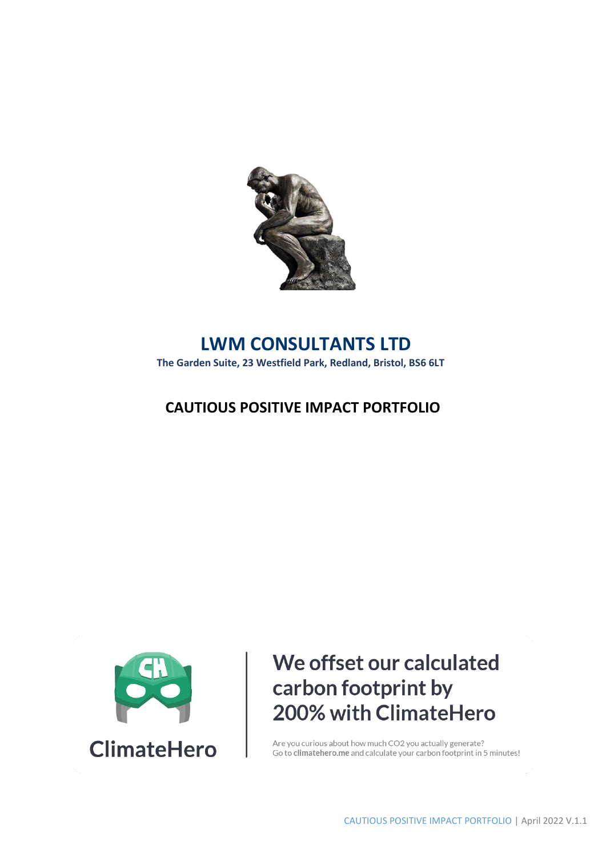

## **LWM CONSULTANTS LTD**

**The Garden Suite, 23 Westfield Park, Redland, Bristol, BS6 6LT**

### **CAUTIOUS POSITIVE IMPACT PORTFOLIO**



# We offset our calculated carbon footprint by 200% with ClimateHero

Are you curious about how much CO2 you actually generate? Go to climate hero. me and calculate your carbon footprint in 5 minutes!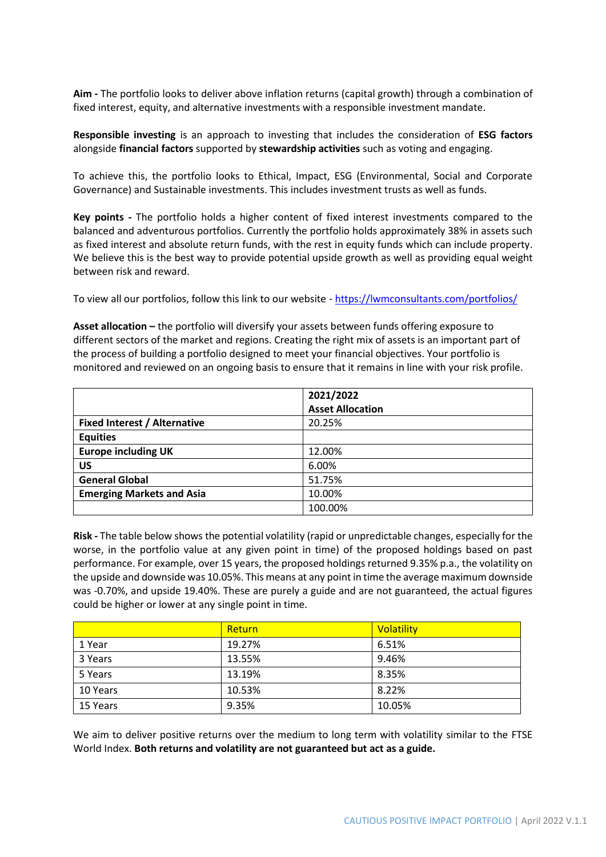**Aim -** The portfolio looks to deliver above inflation returns (capital growth) through a combination of fixed interest, equity, and alternative investments with a responsible investment mandate.

**Responsible investing** is an approach to investing that includes the consideration of **ESG factors** alongside **financial factors** supported by **stewardship activities** such as voting and engaging.

To achieve this, the portfolio looks to Ethical, Impact, ESG (Environmental, Social and Corporate Governance) and Sustainable investments. This includes investment trusts as well as funds.

**Key points -** The portfolio holds a higher content of fixed interest investments compared to the balanced and adventurous portfolios. Currently the portfolio holds approximately 38% in assets such as fixed interest and absolute return funds, with the rest in equity funds which can include property. We believe this is the best way to provide potential upside growth as well as providing equal weight between risk and reward.

To view all our portfolios, follow this link to our website - <https://lwmconsultants.com/portfolios/>

**Asset allocation –** the portfolio will diversify your assets between funds offering exposure to different sectors of the market and regions. Creating the right mix of assets is an important part of the process of building a portfolio designed to meet your financial objectives. Your portfolio is monitored and reviewed on an ongoing basis to ensure that it remains in line with your risk profile.

|                                     | 2021/2022               |  |
|-------------------------------------|-------------------------|--|
|                                     | <b>Asset Allocation</b> |  |
| <b>Fixed Interest / Alternative</b> | 20.25%                  |  |
| <b>Equities</b>                     |                         |  |
| <b>Europe including UK</b>          | 12.00%                  |  |
| <b>US</b>                           | 6.00%                   |  |
| <b>General Global</b>               | 51.75%                  |  |
| <b>Emerging Markets and Asia</b>    | 10.00%                  |  |
|                                     | 100.00%                 |  |

**Risk -** The table below shows the potential volatility (rapid or unpredictable changes, especially for the worse, in the portfolio value at any given point in time) of the proposed holdings based on past performance. For example, over 15 years, the proposed holdings returned 9.35% p.a., the volatility on the upside and downside was 10.05%. This means at any point in time the average maximum downside was -0.70%, and upside 19.40%. These are purely a guide and are not guaranteed, the actual figures could be higher or lower at any single point in time.

|          | Return | <b>Volatility</b> |
|----------|--------|-------------------|
| 1 Year   | 19.27% | 6.51%             |
| 3 Years  | 13.55% | 9.46%             |
| 5 Years  | 13.19% | 8.35%             |
| 10 Years | 10.53% | 8.22%             |
| 15 Years | 9.35%  | 10.05%            |

We aim to deliver positive returns over the medium to long term with volatility similar to the FTSE World Index. **Both returns and volatility are not guaranteed but act as a guide.**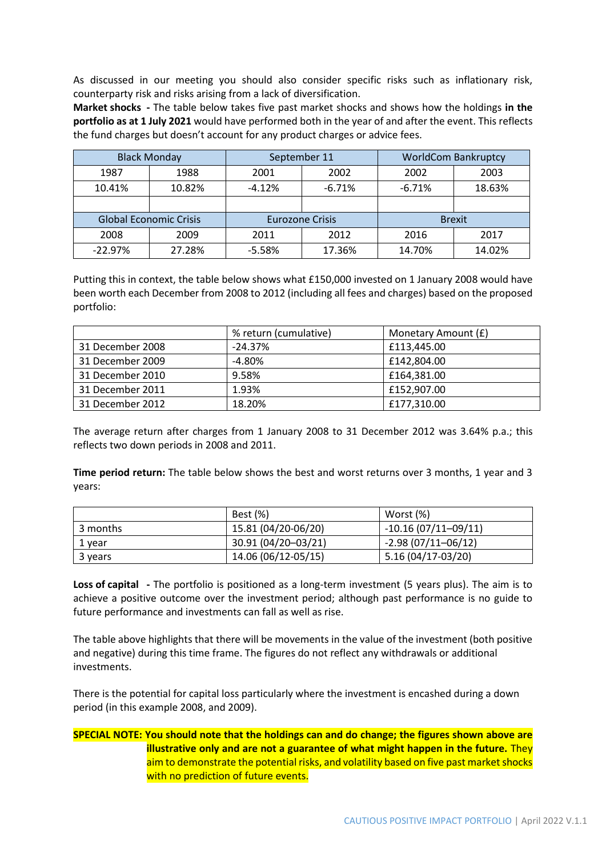As discussed in our meeting you should also consider specific risks such as inflationary risk, counterparty risk and risks arising from a lack of diversification.

**Market shocks -** The table below takes five past market shocks and shows how the holdings **in the portfolio as at 1 July 2021** would have performed both in the year of and after the event. This reflects the fund charges but doesn't account for any product charges or advice fees.

|                               | <b>Black Monday</b> |                        | September 11 |          | <b>WorldCom Bankruptcy</b> |
|-------------------------------|---------------------|------------------------|--------------|----------|----------------------------|
| 1987                          | 1988                | 2001                   | 2002         | 2002     | 2003                       |
| 10.41%                        | 10.82%              | $-4.12%$               | $-6.71%$     | $-6.71%$ | 18.63%                     |
|                               |                     |                        |              |          |                            |
| <b>Global Economic Crisis</b> |                     | <b>Eurozone Crisis</b> |              |          | <b>Brexit</b>              |
| 2008                          | 2009                | 2011                   | 2012         | 2016     | 2017                       |
| $-22.97%$                     | 27.28%              | $-5.58%$               | 17.36%       | 14.70%   | 14.02%                     |

Putting this in context, the table below shows what £150,000 invested on 1 January 2008 would have been worth each December from 2008 to 2012 (including all fees and charges) based on the proposed portfolio:

|                  | % return (cumulative) | Monetary Amount (£) |
|------------------|-----------------------|---------------------|
| 31 December 2008 | $-24.37%$             | £113,445.00         |
| 31 December 2009 | $-4.80\%$             | £142,804.00         |
| 31 December 2010 | 9.58%                 | £164,381.00         |
| 31 December 2011 | 1.93%                 | £152,907.00         |
| 31 December 2012 | 18.20%                | £177,310.00         |

The average return after charges from 1 January 2008 to 31 December 2012 was 3.64% p.a.; this reflects two down periods in 2008 and 2011.

**Time period return:** The table below shows the best and worst returns over 3 months, 1 year and 3 years:

|          | <b>Best</b> (%)     | Worst (%)             |
|----------|---------------------|-----------------------|
| 3 months | 15.81 (04/20-06/20) | $-10.16(07/11-09/11)$ |
| 1 year   | 30.91 (04/20-03/21) | $-2.98(07/11-06/12)$  |
| 3 years  | 14.06 (06/12-05/15) | 5.16 (04/17-03/20)    |

**Loss of capital -** The portfolio is positioned as a long-term investment (5 years plus). The aim is to achieve a positive outcome over the investment period; although past performance is no guide to future performance and investments can fall as well as rise.

The table above highlights that there will be movements in the value of the investment (both positive and negative) during this time frame. The figures do not reflect any withdrawals or additional investments.

There is the potential for capital loss particularly where the investment is encashed during a down period (in this example 2008, and 2009).

### **SPECIAL NOTE: You should note that the holdings can and do change; the figures shown above are illustrative only and are not a guarantee of what might happen in the future.** They aim to demonstrate the potential risks, and volatility based on five past market shocks with no prediction of future events.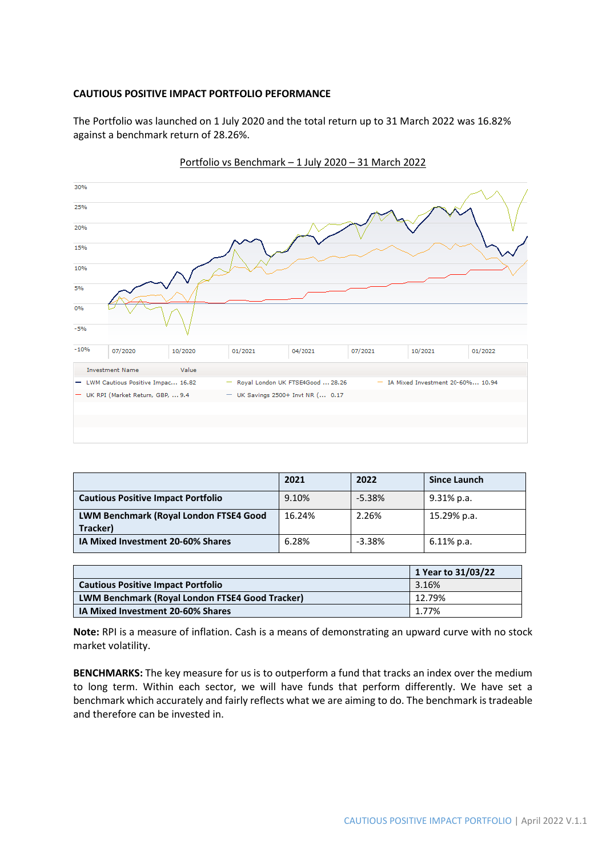#### **CAUTIOUS POSITIVE IMPACT PORTFOLIO PEFORMANCE**

The Portfolio was launched on 1 July 2020 and the total return up to 31 March 2022 was 16.82% against a benchmark return of 28.26%.



Portfolio vs Benchmark – 1 July 2020 – 31 March 2022

|                                                    | 2021   | 2022     | <b>Since Launch</b> |
|----------------------------------------------------|--------|----------|---------------------|
| <b>Cautious Positive Impact Portfolio</b>          | 9.10%  | $-5.38%$ | 9.31% p.a.          |
| LWM Benchmark (Royal London FTSE4 Good<br>Tracker) | 16.24% | 2.26%    | 15.29% p.a.         |
| IA Mixed Investment 20-60% Shares                  | 6.28%  | $-3.38%$ | 6.11% p.a.          |

|                                                 | 1 Year to 31/03/22 |
|-------------------------------------------------|--------------------|
| <b>Cautious Positive Impact Portfolio</b>       | 3.16%              |
| LWM Benchmark (Royal London FTSE4 Good Tracker) | 12.79%             |
| IA Mixed Investment 20-60% Shares               | 1.77%              |

**Note:** RPI is a measure of inflation. Cash is a means of demonstrating an upward curve with no stock market volatility.

**BENCHMARKS:** The key measure for us is to outperform a fund that tracks an index over the medium to long term. Within each sector, we will have funds that perform differently. We have set a benchmark which accurately and fairly reflects what we are aiming to do. The benchmark is tradeable and therefore can be invested in.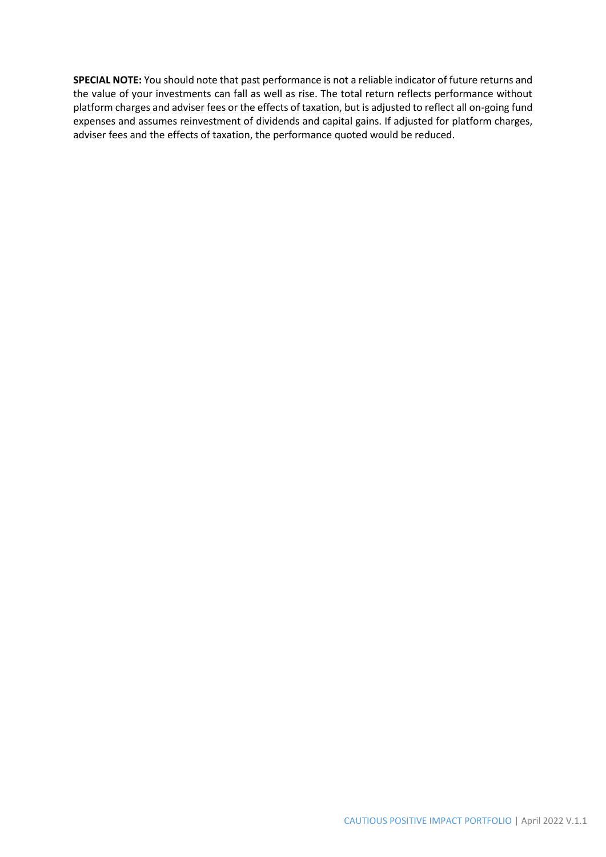**SPECIAL NOTE:** You should note that past performance is not a reliable indicator of future returns and the value of your investments can fall as well as rise. The total return reflects performance without platform charges and adviser fees or the effects of taxation, but is adjusted to reflect all on-going fund expenses and assumes reinvestment of dividends and capital gains. If adjusted for platform charges, adviser fees and the effects of taxation, the performance quoted would be reduced.